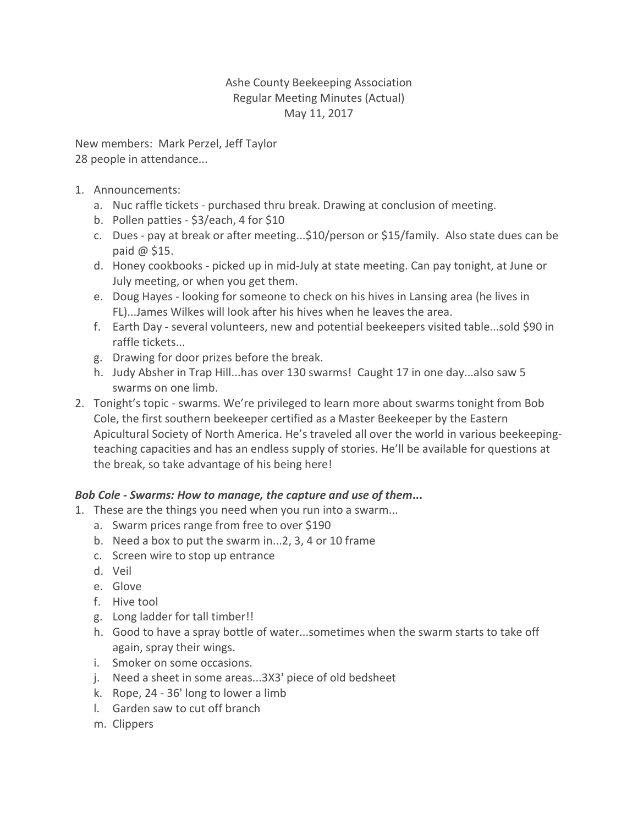## Ashe County Beekeeping Association Regular Meeting Minutes (Actual) May 11, 2017

New members: Mark Perzel, Jeff Taylor 28 people in attendance...

- 1. Announcements:
	- a. Nuc raffle tickets purchased thru break. Drawing at conclusion of meeting.
	- b. Pollen patties \$3/each, 4 for \$10
	- c. Dues pay at break or after meeting...\$10/person or \$15/family. Also state dues can be paid @ \$15.
	- d. Honey cookbooks picked up in mid-July at state meeting. Can pay tonight, at June or July meeting, or when you get them.
	- e. Doug Hayes looking for someone to check on his hives in Lansing area (he lives in FL)...James Wilkes will look after his hives when he leaves the area.
	- f. Earth Day several volunteers, new and potential beekeepers visited table...sold \$90 in raffle tickets...
	- g. Drawing for door prizes before the break.
	- h. Judy Absher in Trap Hill...has over 130 swarms! Caught 17 in one day...also saw 5 swarms on one limb.
- 2. Tonight's topic swarms. We're privileged to learn more about swarms tonight from Bob Cole, the first southern beekeeper certified as a Master Beekeeper by the Eastern Apicultural Society of North America. He's traveled all over the world in various beekeepingteaching capacities and has an endless supply of stories. He'll be available for questions at the break, so take advantage of his being here!

## *Bob Cole - Swarms: How to manage, the capture and use of them***...**

- 1. These are the things you need when you run into a swarm...
	- a. Swarm prices range from free to over \$190
	- b. Need a box to put the swarm in...2, 3, 4 or 10 frame
	- c. Screen wire to stop up entrance
	- d. Veil
	- e. Glove
	- f. Hive tool
	- g. Long ladder for tall timber!!
	- h. Good to have a spray bottle of water...sometimes when the swarm starts to take off again, spray their wings.
	- i. Smoker on some occasions.
	- j. Need a sheet in some areas...3X3' piece of old bedsheet
	- k. Rope, 24 36' long to lower a limb
	- l. Garden saw to cut off branch
	- m. Clippers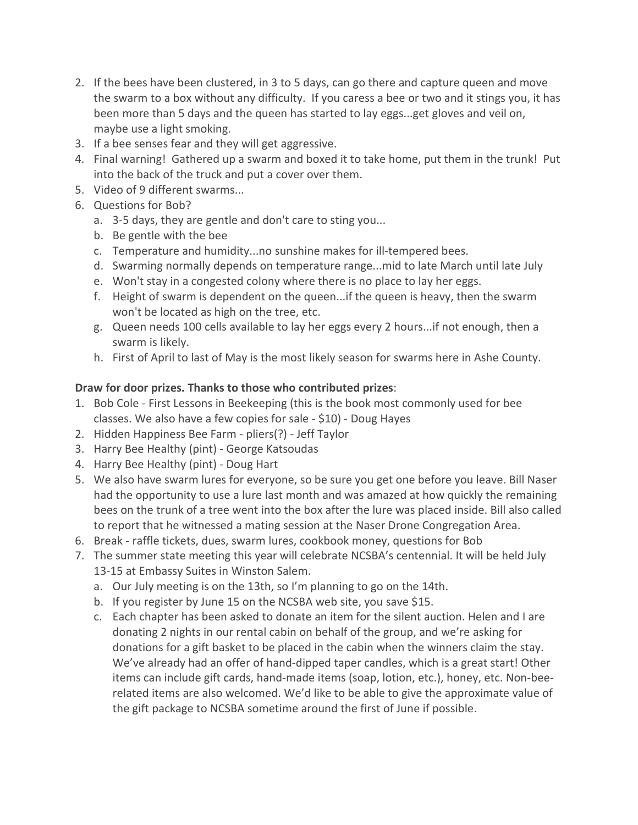- 2. If the bees have been clustered, in 3 to 5 days, can go there and capture queen and move the swarm to a box without any difficulty. If you caress a bee or two and it stings you, it has been more than 5 days and the queen has started to lay eggs...get gloves and veil on, maybe use a light smoking.
- 3. If a bee senses fear and they will get aggressive.
- 4. Final warning! Gathered up a swarm and boxed it to take home, put them in the trunk! Put into the back of the truck and put a cover over them.
- 5. Video of 9 different swarms...
- 6. Questions for Bob?
	- a. 3-5 days, they are gentle and don't care to sting you...
	- b. Be gentle with the bee
	- c. Temperature and humidity...no sunshine makes for ill-tempered bees.
	- d. Swarming normally depends on temperature range...mid to late March until late July
	- e. Won't stay in a congested colony where there is no place to lay her eggs.
	- f. Height of swarm is dependent on the queen...if the queen is heavy, then the swarm won't be located as high on the tree, etc.
	- g. Queen needs 100 cells available to lay her eggs every 2 hours...if not enough, then a swarm is likely.
	- h. First of April to last of May is the most likely season for swarms here in Ashe County.

## **Draw for door prizes. Thanks to those who contributed prizes**:

- 1. Bob Cole First Lessons in Beekeeping (this is the book most commonly used for bee classes. We also have a few copies for sale - \$10) - Doug Hayes
- 2. Hidden Happiness Bee Farm pliers(?) Jeff Taylor
- 3. Harry Bee Healthy (pint) George Katsoudas
- 4. Harry Bee Healthy (pint) Doug Hart
- 5. We also have swarm lures for everyone, so be sure you get one before you leave. Bill Naser had the opportunity to use a lure last month and was amazed at how quickly the remaining bees on the trunk of a tree went into the box after the lure was placed inside. Bill also called to report that he witnessed a mating session at the Naser Drone Congregation Area.
- 6. Break raffle tickets, dues, swarm lures, cookbook money, questions for Bob
- 7. The summer state meeting this year will celebrate NCSBA's centennial. It will be held July 13-15 at Embassy Suites in Winston Salem.
	- a. Our July meeting is on the 13th, so I'm planning to go on the 14th.
	- b. If you register by June 15 on the NCSBA web site, you save \$15.
	- c. Each chapter has been asked to donate an item for the silent auction. Helen and I are donating 2 nights in our rental cabin on behalf of the group, and we're asking for donations for a gift basket to be placed in the cabin when the winners claim the stay. We've already had an offer of hand-dipped taper candles, which is a great start! Other items can include gift cards, hand-made items (soap, lotion, etc.), honey, etc. Non-beerelated items are also welcomed. We'd like to be able to give the approximate value of the gift package to NCSBA sometime around the first of June if possible.